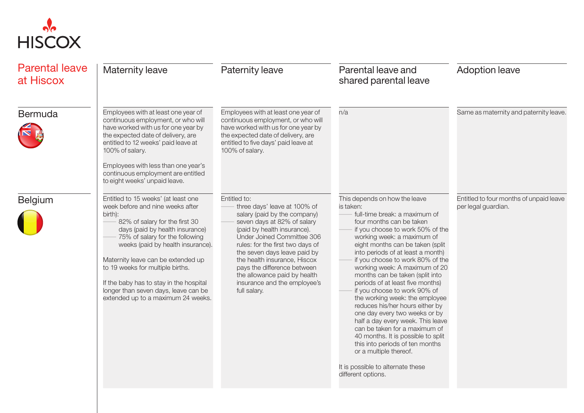

| <b>Parental leave</b><br>at Hiscox | Maternity leave                                                                                                                                                                                                                                                                                                                                                                                                                                                     | <b>Paternity leave</b>                                                                                                                                                                                                                                                                                                                                                                      | Parental leave and<br>shared parental leave                                                                                                                                                                                                                                                                                                                                                                                                                                                                                                                                                                                                                                                                                                                              | <b>Adoption leave</b>                                          |
|------------------------------------|---------------------------------------------------------------------------------------------------------------------------------------------------------------------------------------------------------------------------------------------------------------------------------------------------------------------------------------------------------------------------------------------------------------------------------------------------------------------|---------------------------------------------------------------------------------------------------------------------------------------------------------------------------------------------------------------------------------------------------------------------------------------------------------------------------------------------------------------------------------------------|--------------------------------------------------------------------------------------------------------------------------------------------------------------------------------------------------------------------------------------------------------------------------------------------------------------------------------------------------------------------------------------------------------------------------------------------------------------------------------------------------------------------------------------------------------------------------------------------------------------------------------------------------------------------------------------------------------------------------------------------------------------------------|----------------------------------------------------------------|
| Bermuda                            | Employees with at least one year of<br>continuous employment, or who will<br>have worked with us for one year by<br>the expected date of delivery, are<br>entitled to 12 weeks' paid leave at<br>100% of salary.<br>Employees with less than one year's<br>continuous employment are entitled                                                                                                                                                                       | Employees with at least one year of<br>continuous employment, or who will<br>have worked with us for one year by<br>the expected date of delivery, are<br>entitled to five days' paid leave at<br>100% of salary.                                                                                                                                                                           | n/a                                                                                                                                                                                                                                                                                                                                                                                                                                                                                                                                                                                                                                                                                                                                                                      | Same as maternity and paternity leave.                         |
| <b>Belgium</b>                     | to eight weeks' unpaid leave.<br>Entitled to 15 weeks' (at least one<br>week before and nine weeks after<br>birth):<br>82% of salary for the first 30<br>days (paid by health insurance)<br>75% of salary for the following<br>weeks (paid by health insurance).<br>Maternity leave can be extended up<br>to 19 weeks for multiple births.<br>If the baby has to stay in the hospital<br>longer than seven days, leave can be<br>extended up to a maximum 24 weeks. | Entitled to:<br>three days' leave at 100% of<br>salary (paid by the company)<br>seven days at 82% of salary<br>(paid by health insurance).<br>Under Joined Committee 306<br>rules: for the first two days of<br>the seven days leave paid by<br>the health insurance, Hiscox<br>pays the difference between<br>the allowance paid by health<br>insurance and the employee's<br>full salary. | This depends on how the leave<br>is taken:<br>full-time break: a maximum of<br>four months can be taken<br>if you choose to work 50% of the<br>working week: a maximum of<br>eight months can be taken (split<br>into periods of at least a month)<br>if you choose to work 80% of the<br>working week: A maximum of 20<br>months can be taken (split into<br>periods of at least five months)<br>if you choose to work 90% of<br>the working week: the employee<br>reduces his/her hours either by<br>one day every two weeks or by<br>half a day every week. This leave<br>can be taken for a maximum of<br>40 months. It is possible to split<br>this into periods of ten months<br>or a multiple thereof.<br>It is possible to alternate these<br>different options. | Entitled to four months of unpaid leave<br>per legal guardian. |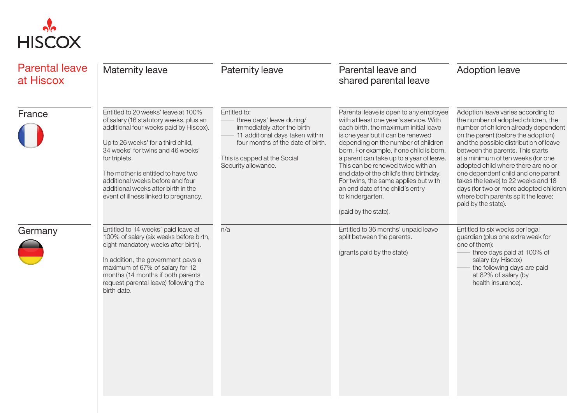

| <b>Parental leave</b><br>at Hiscox | Maternity leave                                                                                                                                                                                                                                                                                                                                                               | Paternity leave                                                                                                                                                                                         | Parental leave and<br>shared parental leave                                                                                                                                                                                                                                                                                                                                                                                                                                                           | <b>Adoption leave</b>                                                                                                                                                                                                                                                                                                                                                                                                                                                                                    |
|------------------------------------|-------------------------------------------------------------------------------------------------------------------------------------------------------------------------------------------------------------------------------------------------------------------------------------------------------------------------------------------------------------------------------|---------------------------------------------------------------------------------------------------------------------------------------------------------------------------------------------------------|-------------------------------------------------------------------------------------------------------------------------------------------------------------------------------------------------------------------------------------------------------------------------------------------------------------------------------------------------------------------------------------------------------------------------------------------------------------------------------------------------------|----------------------------------------------------------------------------------------------------------------------------------------------------------------------------------------------------------------------------------------------------------------------------------------------------------------------------------------------------------------------------------------------------------------------------------------------------------------------------------------------------------|
| France                             | Entitled to 20 weeks' leave at 100%<br>of salary (16 statutory weeks, plus an<br>additional four weeks paid by Hiscox).<br>Up to 26 weeks' for a third child,<br>34 weeks' for twins and 46 weeks'<br>for triplets.<br>The mother is entitled to have two<br>additional weeks before and four<br>additional weeks after birth in the<br>event of illness linked to pregnancy. | Entitled to:<br>three days' leave during/<br>immediately after the birth<br>11 additional days taken within<br>four months of the date of birth.<br>This is capped at the Social<br>Security allowance. | Parental leave is open to any employee<br>with at least one year's service. With<br>each birth, the maximum initial leave<br>is one year but it can be renewed<br>depending on the number of children<br>born. For example, if one child is born,<br>a parent can take up to a year of leave.<br>This can be renewed twice with an<br>end date of the child's third birthday.<br>For twins, the same applies but with<br>an end date of the child's entry<br>to kindergarten.<br>(paid by the state). | Adoption leave varies according to<br>the number of adopted children, the<br>number of children already dependent<br>on the parent (before the adoption)<br>and the possible distribution of leave<br>between the parents. This starts<br>at a minimum of ten weeks (for one<br>adopted child where there are no or<br>one dependent child and one parent<br>takes the leave) to 22 weeks and 18<br>days (for two or more adopted children<br>where both parents split the leave;<br>paid by the state). |
| Germany                            | Entitled to 14 weeks' paid leave at<br>100% of salary (six weeks before birth,<br>eight mandatory weeks after birth).<br>In addition, the government pays a<br>maximum of 67% of salary for 12<br>months (14 months if both parents<br>request parental leave) following the<br>birth date.                                                                                   | n/a                                                                                                                                                                                                     | Entitled to 36 months' unpaid leave<br>split between the parents.<br>(grants paid by the state)                                                                                                                                                                                                                                                                                                                                                                                                       | Entitled to six weeks per legal<br>guardian (plus one extra week for<br>one of them):<br>three days paid at 100% of<br>salary (by Hiscox)<br>the following days are paid<br>at 82% of salary (by<br>health insurance).                                                                                                                                                                                                                                                                                   |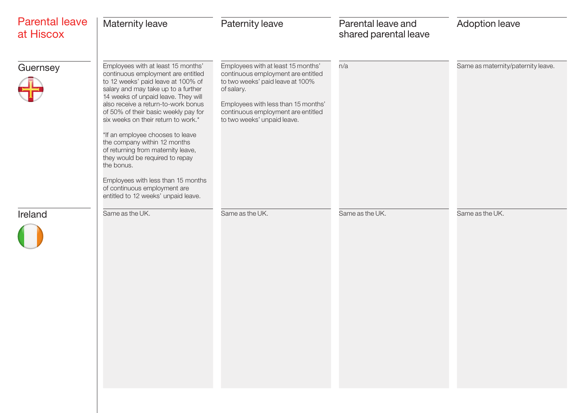| <b>Parental leave</b><br>at Hiscox | Maternity leave                                                                                                                                                                                                                                                                                                                                                                                                                                                                                                                                                                            | Paternity leave                                                                                                                                                                                                                        | Parental leave and<br>shared parental leave | <b>Adoption leave</b>              |
|------------------------------------|--------------------------------------------------------------------------------------------------------------------------------------------------------------------------------------------------------------------------------------------------------------------------------------------------------------------------------------------------------------------------------------------------------------------------------------------------------------------------------------------------------------------------------------------------------------------------------------------|----------------------------------------------------------------------------------------------------------------------------------------------------------------------------------------------------------------------------------------|---------------------------------------------|------------------------------------|
| Guernsey                           | Employees with at least 15 months'<br>continuous employment are entitled<br>to 12 weeks' paid leave at 100% of<br>salary and may take up to a further<br>14 weeks of unpaid leave. They will<br>also receive a return-to-work bonus<br>of 50% of their basic weekly pay for<br>six weeks on their return to work.*<br>*If an employee chooses to leave<br>the company within 12 months<br>of returning from maternity leave,<br>they would be required to repay<br>the bonus.<br>Employees with less than 15 months<br>of continuous employment are<br>entitled to 12 weeks' unpaid leave. | Employees with at least 15 months'<br>continuous employment are entitled<br>to two weeks' paid leave at 100%<br>of salary.<br>Employees with less than 15 months'<br>continuous employment are entitled<br>to two weeks' unpaid leave. | n/a                                         | Same as maternity/paternity leave. |
| Ireland                            | Same as the UK.                                                                                                                                                                                                                                                                                                                                                                                                                                                                                                                                                                            | Same as the UK.                                                                                                                                                                                                                        | Same as the UK.                             | Same as the UK.                    |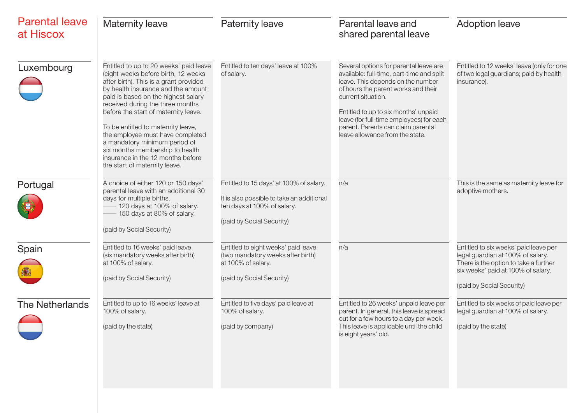| <b>Parental leave</b><br>at Hiscox | <b>Maternity leave</b>                                                                                                                                                                                                                                                                                                                                                                                                                                                                               | <b>Paternity leave</b>                                                                                                                           | Parental leave and<br>shared parental leave                                                                                                                                                                                                                                                                                                        | <b>Adoption leave</b>                                                                                                                                                                  |
|------------------------------------|------------------------------------------------------------------------------------------------------------------------------------------------------------------------------------------------------------------------------------------------------------------------------------------------------------------------------------------------------------------------------------------------------------------------------------------------------------------------------------------------------|--------------------------------------------------------------------------------------------------------------------------------------------------|----------------------------------------------------------------------------------------------------------------------------------------------------------------------------------------------------------------------------------------------------------------------------------------------------------------------------------------------------|----------------------------------------------------------------------------------------------------------------------------------------------------------------------------------------|
| Luxembourg                         | Entitled to up to 20 weeks' paid leave<br>(eight weeks before birth, 12 weeks<br>after birth). This is a grant provided<br>by health insurance and the amount<br>paid is based on the highest salary<br>received during the three months<br>before the start of maternity leave.<br>To be entitled to maternity leave,<br>the employee must have completed<br>a mandatory minimum period of<br>six months membership to health<br>insurance in the 12 months before<br>the start of maternity leave. | Entitled to ten days' leave at 100%<br>of salary.                                                                                                | Several options for parental leave are<br>available: full-time, part-time and split<br>leave. This depends on the number<br>of hours the parent works and their<br>current situation.<br>Entitled to up to six months' unpaid<br>leave (for full-time employees) for each<br>parent. Parents can claim parental<br>leave allowance from the state. | Entitled to 12 weeks' leave (only for one<br>of two legal guardians; paid by health<br>insurance).                                                                                     |
| Portugal                           | A choice of either 120 or 150 days'<br>parental leave with an additional 30<br>days for multiple births.<br>120 days at 100% of salary.<br>150 days at 80% of salary.<br>(paid by Social Security)                                                                                                                                                                                                                                                                                                   | Entitled to 15 days' at 100% of salary.<br>It is also possible to take an additional<br>ten days at 100% of salary.<br>(paid by Social Security) | n/a                                                                                                                                                                                                                                                                                                                                                | This is the same as maternity leave for<br>adoptive mothers.                                                                                                                           |
| Spain                              | Entitled to 16 weeks' paid leave<br>(six mandatory weeks after birth)<br>at 100% of salary.<br>(paid by Social Security)                                                                                                                                                                                                                                                                                                                                                                             | Entitled to eight weeks' paid leave<br>(two mandatory weeks after birth)<br>at 100% of salary.<br>(paid by Social Security)                      | n/a                                                                                                                                                                                                                                                                                                                                                | Entitled to six weeks' paid leave per<br>legal guardian at 100% of salary.<br>There is the option to take a further<br>six weeks' paid at 100% of salary.<br>(paid by Social Security) |
| <b>The Netherlands</b>             | Entitled to up to 16 weeks' leave at<br>100% of salary.<br>(paid by the state)                                                                                                                                                                                                                                                                                                                                                                                                                       | Entitled to five days' paid leave at<br>100% of salary.<br>(paid by company)                                                                     | Entitled to 26 weeks' unpaid leave per<br>parent. In general, this leave is spread<br>out for a few hours to a day per week.<br>This leave is applicable until the child<br>is eight years' old.                                                                                                                                                   | Entitled to six weeks of paid leave per<br>legal guardian at 100% of salary.<br>(paid by the state)                                                                                    |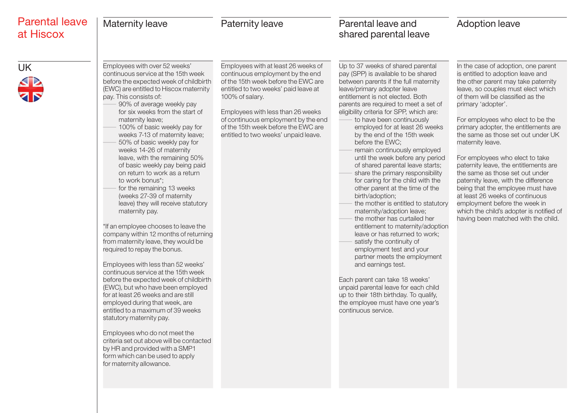| <b>Parental leave</b><br>at Hiscox | <b>Maternity leave</b>                                                                                                                                                                                                                                                                                                                                                                                                                                                                                                                                                                                                                                                                                                                                                                                                                                                                                                                                                                                                                                                                                                                                                                                                                                                                    | <b>Paternity leave</b>                                                                                                                                                                                                                                                                                                               | Parental leave and<br>shared parental leave                                                                                                                                                                                                                                                                                                                                                                                                                                                                                                                                                                                                                                                                                                                                                                                                                                                                                                                                                                                                                                                                 | <b>Adoption leave</b>                                                                                                                                                                                                                                                                                                                                                                                                                                                                                                                                                                                                                                                                                       |
|------------------------------------|-------------------------------------------------------------------------------------------------------------------------------------------------------------------------------------------------------------------------------------------------------------------------------------------------------------------------------------------------------------------------------------------------------------------------------------------------------------------------------------------------------------------------------------------------------------------------------------------------------------------------------------------------------------------------------------------------------------------------------------------------------------------------------------------------------------------------------------------------------------------------------------------------------------------------------------------------------------------------------------------------------------------------------------------------------------------------------------------------------------------------------------------------------------------------------------------------------------------------------------------------------------------------------------------|--------------------------------------------------------------------------------------------------------------------------------------------------------------------------------------------------------------------------------------------------------------------------------------------------------------------------------------|-------------------------------------------------------------------------------------------------------------------------------------------------------------------------------------------------------------------------------------------------------------------------------------------------------------------------------------------------------------------------------------------------------------------------------------------------------------------------------------------------------------------------------------------------------------------------------------------------------------------------------------------------------------------------------------------------------------------------------------------------------------------------------------------------------------------------------------------------------------------------------------------------------------------------------------------------------------------------------------------------------------------------------------------------------------------------------------------------------------|-------------------------------------------------------------------------------------------------------------------------------------------------------------------------------------------------------------------------------------------------------------------------------------------------------------------------------------------------------------------------------------------------------------------------------------------------------------------------------------------------------------------------------------------------------------------------------------------------------------------------------------------------------------------------------------------------------------|
| UK                                 | Employees with over 52 weeks'<br>continuous service at the 15th week<br>before the expected week of childbirth<br>(EWC) are entitled to Hiscox maternity<br>pay. This consists of:<br>90% of average weekly pay<br>for six weeks from the start of<br>maternity leave;<br>100% of basic weekly pay for<br>weeks 7-13 of maternity leave;<br>50% of basic weekly pay for<br>weeks 14-26 of maternity<br>leave, with the remaining 50%<br>of basic weekly pay being paid<br>on return to work as a return<br>to work bonus*;<br>for the remaining 13 weeks<br>(weeks 27-39 of maternity<br>leave) they will receive statutory<br>maternity pay.<br>*If an employee chooses to leave the<br>company within 12 months of returning<br>from maternity leave, they would be<br>required to repay the bonus.<br>Employees with less than 52 weeks'<br>continuous service at the 15th week<br>before the expected week of childbirth<br>(EWC), but who have been employed<br>for at least 26 weeks and are still<br>employed during that week, are<br>entitled to a maximum of 39 weeks<br>statutory maternity pay.<br>Employees who do not meet the<br>criteria set out above will be contacted<br>by HR and provided with a SMP1<br>form which can be used to apply<br>for maternity allowance. | Employees with at least 26 weeks of<br>continuous employment by the end<br>of the 15th week before the EWC are<br>entitled to two weeks' paid leave at<br>100% of salary.<br>Employees with less than 26 weeks<br>of continuous employment by the end<br>of the 15th week before the EWC are<br>entitled to two weeks' unpaid leave. | Up to 37 weeks of shared parental<br>pay (SPP) is available to be shared<br>between parents if the full maternity<br>leave/primary adopter leave<br>entitlement is not elected. Both<br>parents are required to meet a set of<br>eligibility criteria for SPP, which are:<br>to have been continuously<br>employed for at least 26 weeks<br>by the end of the 15th week<br>before the EWC;<br>remain continuously employed<br>until the week before any period<br>of shared parental leave starts;<br>share the primary responsibility<br>for caring for the child with the<br>other parent at the time of the<br>birth/adoption;<br>the mother is entitled to statutory<br>maternity/adoption leave;<br>the mother has curtailed her<br>entitlement to maternity/adoption<br>leave or has returned to work;<br>satisfy the continuity of<br>employment test and your<br>partner meets the employment<br>and earnings test.<br>Each parent can take 18 weeks'<br>unpaid parental leave for each child<br>up to their 18th birthday. To qualify,<br>the employee must have one year's<br>continuous service. | In the case of adoption, one parent<br>is entitled to adoption leave and<br>the other parent may take paternity<br>leave, so couples must elect which<br>of them will be classified as the<br>primary 'adopter'.<br>For employees who elect to be the<br>primary adopter, the entitlements are<br>the same as those set out under UK<br>maternity leave.<br>For employees who elect to take<br>paternity leave, the entitlements are<br>the same as those set out under<br>paternity leave, with the difference<br>being that the employee must have<br>at least 26 weeks of continuous<br>employment before the week in<br>which the child's adopter is notified of<br>having been matched with the child. |